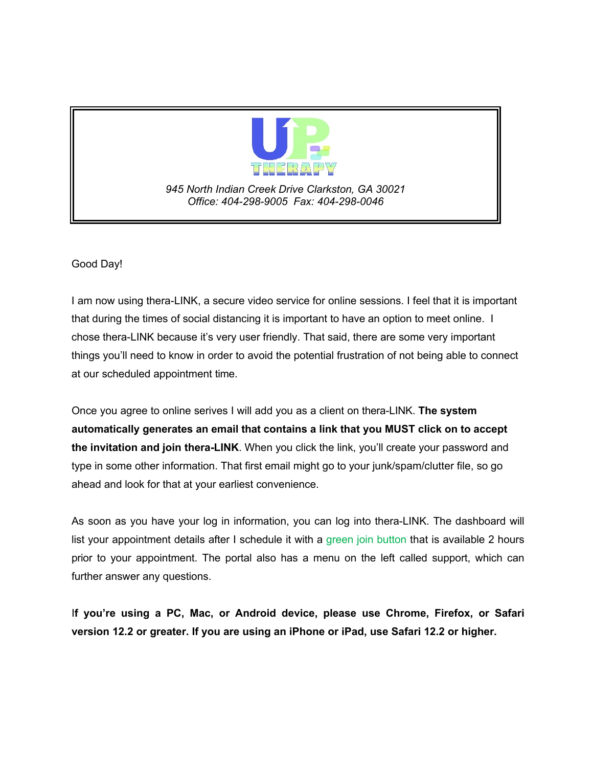

*945 North Indian Creek Drive Clarkston, GA 30021 Office: 404-298-9005 Fax: 404-298-0046*

Good Day!

I am now using thera-LINK, a secure video service for online sessions. I feel that it is important that during the times of social distancing it is important to have an option to meet online. I chose thera-LINK because it's very user friendly. That said, there are some very important things you'll need to know in order to avoid the potential frustration of not being able to connect at our scheduled appointment time.

Once you agree to online serives I will add you as a client on thera-LINK. **The system automatically generates an email that contains a link that you MUST click on to accept the invitation and join thera-LINK**. When you click the link, you'll create your password and type in some other information. That first email might go to your junk/spam/clutter file, so go ahead and look for that at your earliest convenience.

As soon as you have your log in information, you can log into thera-LINK. The dashboard will list your appointment details after I schedule it with a green join button that is available 2 hours prior to your appointment. The portal also has a menu on the left called support, which can further answer any questions.

I**f you're using a PC, Mac, or Android device, please use Chrome, Firefox, or Safari version 12.2 or greater. If you are using an iPhone or iPad, use Safari 12.2 or higher.**